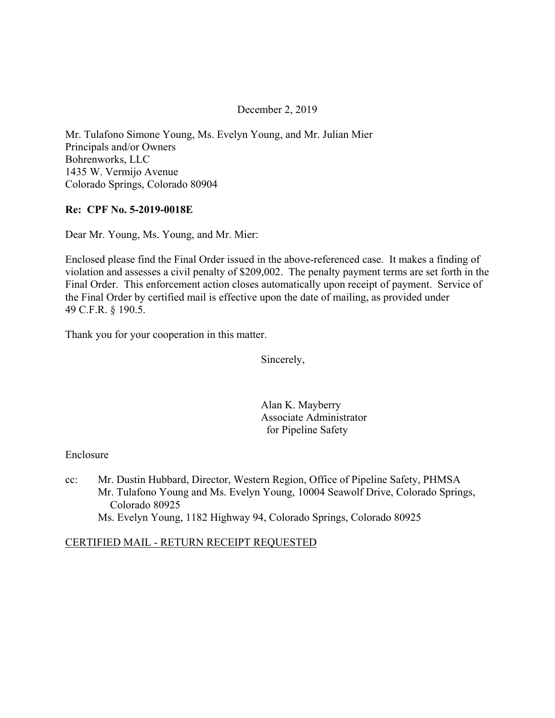### December 2, 2019

Mr. Tulafono Simone Young, Ms. Evelyn Young, and Mr. Julian Mier Principals and/or Owners Bohrenworks, LLC 1435 W. Vermijo Avenue Colorado Springs, Colorado 80904

#### **Re: CPF No. 5-2019-0018E**

Dear Mr. Young, Ms. Young, and Mr. Mier:

Enclosed please find the Final Order issued in the above-referenced case. It makes a finding of violation and assesses a civil penalty of \$209,002. The penalty payment terms are set forth in the Final Order. This enforcement action closes automatically upon receipt of payment. Service of the Final Order by certified mail is effective upon the date of mailing, as provided under 49 C.F.R. § 190.5.

Thank you for your cooperation in this matter.

Sincerely,

Alan K. Mayberry Associate Administrator for Pipeline Safety

#### Enclosure

cc: Mr. Dustin Hubbard, Director, Western Region, Office of Pipeline Safety, PHMSA Mr. Tulafono Young and Ms. Evelyn Young, 10004 Seawolf Drive, Colorado Springs, Colorado 80925 Ms. Evelyn Young, 1182 Highway 94, Colorado Springs, Colorado 80925

#### CERTIFIED MAIL - RETURN RECEIPT REQUESTED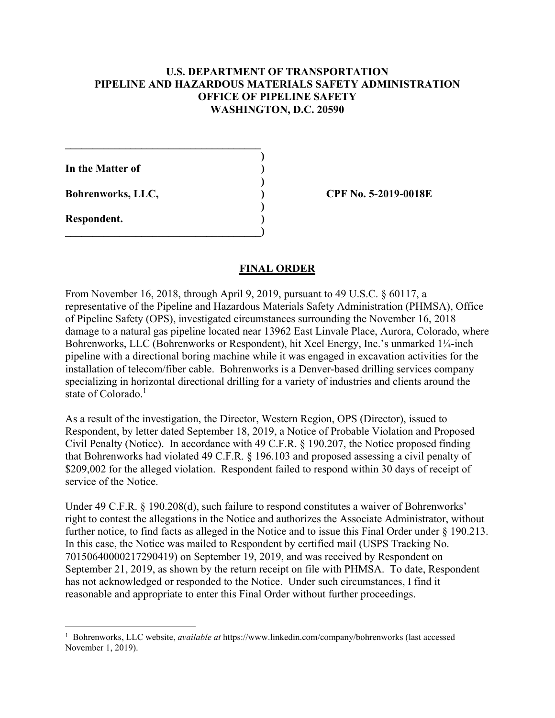### **U.S. DEPARTMENT OF TRANSPORTATION PIPELINE AND HAZARDOUS MATERIALS SAFETY ADMINISTRATION OFFICE OF PIPELINE SAFETY WASHINGTON, D.C. 20590**

**)** 

**)** 

**In the Matter of )** 

**\_\_\_\_\_\_\_\_\_\_\_\_\_\_\_\_\_\_\_\_\_\_\_\_\_\_\_\_\_\_\_\_\_\_\_\_** 

 **)** 

 $\overline{\phantom{a}}$ 

**Respondent. )** 

 $\overline{a}$ 

**Bohrenworks, LLC, ) CPF No. 5-2019-0018E**

## **FINAL ORDER**

From November 16, 2018, through April 9, 2019, pursuant to 49 U.S.C. § 60117, a representative of the Pipeline and Hazardous Materials Safety Administration (PHMSA), Office of Pipeline Safety (OPS), investigated circumstances surrounding the November 16, 2018 damage to a natural gas pipeline located near 13962 East Linvale Place, Aurora, Colorado, where Bohrenworks, LLC (Bohrenworks or Respondent), hit Xcel Energy, Inc.'s unmarked 1¼-inch pipeline with a directional boring machine while it was engaged in excavation activities for the installation of telecom/fiber cable. Bohrenworks is a Denver-based drilling services company specializing in horizontal directional drilling for a variety of industries and clients around the state of Colorado.<sup>1</sup>

As a result of the investigation, the Director, Western Region, OPS (Director), issued to Respondent, by letter dated September 18, 2019, a Notice of Probable Violation and Proposed Civil Penalty (Notice). In accordance with 49 C.F.R. § 190.207, the Notice proposed finding that Bohrenworks had violated 49 C.F.R. § 196.103 and proposed assessing a civil penalty of \$209,002 for the alleged violation. Respondent failed to respond within 30 days of receipt of service of the Notice.

Under 49 C.F.R. § 190.208(d), such failure to respond constitutes a waiver of Bohrenworks' right to contest the allegations in the Notice and authorizes the Associate Administrator, without further notice, to find facts as alleged in the Notice and to issue this Final Order under § 190.213. In this case, the Notice was mailed to Respondent by certified mail (USPS Tracking No. 70150640000217290419) on September 19, 2019, and was received by Respondent on September 21, 2019, as shown by the return receipt on file with PHMSA. To date, Respondent has not acknowledged or responded to the Notice. Under such circumstances, I find it reasonable and appropriate to enter this Final Order without further proceedings.

<sup>1</sup> Bohrenworks, LLC website, *available at* <https://www.linkedin.com/company/bohrenworks> (last accessed November 1, 2019).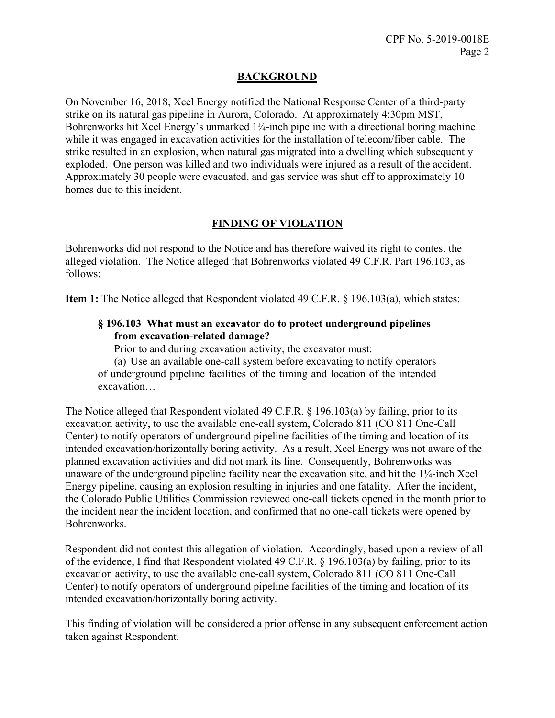## **BACKGROUND**

On November 16, 2018, Xcel Energy notified the National Response Center of a third-party strike on its natural gas pipeline in Aurora, Colorado. At approximately 4:30pm MST, Bohrenworks hit Xcel Energy's unmarked 1¼-inch pipeline with a directional boring machine while it was engaged in excavation activities for the installation of telecom/fiber cable. The strike resulted in an explosion, when natural gas migrated into a dwelling which subsequently exploded. One person was killed and two individuals were injured as a result of the accident. Approximately 30 people were evacuated, and gas service was shut off to approximately 10 homes due to this incident.

# **FINDING OF VIOLATION**

Bohrenworks did not respond to the Notice and has therefore waived its right to contest the alleged violation. The Notice alleged that Bohrenworks violated 49 C.F.R. Part 196.103, as follows:

**Item 1:** The Notice alleged that Respondent violated 49 C.F.R. § 196.103(a), which states:

## **§ 196.103 What must an excavator do to protect underground pipelines from excavation-related damage?**

Prior to and during excavation activity, the excavator must:

(a) Use an available one-call system before excavating to notify operators of underground pipeline facilities of the timing and location of the intended excavation…

The Notice alleged that Respondent violated 49 C.F.R. § 196.103(a) by failing, prior to its excavation activity, to use the available one-call system, Colorado 811 (CO 811 One-Call Center) to notify operators of underground pipeline facilities of the timing and location of its intended excavation/horizontally boring activity. As a result, Xcel Energy was not aware of the planned excavation activities and did not mark its line. Consequently, Bohrenworks was unaware of the underground pipeline facility near the excavation site, and hit the 1¼-inch Xcel Energy pipeline, causing an explosion resulting in injuries and one fatality. After the incident, the Colorado Public Utilities Commission reviewed one-call tickets opened in the month prior to the incident near the incident location, and confirmed that no one-call tickets were opened by Bohrenworks.

Respondent did not contest this allegation of violation. Accordingly, based upon a review of all of the evidence, I find that Respondent violated 49 C.F.R. § 196.103(a) by failing, prior to its excavation activity, to use the available one-call system, Colorado 811 (CO 811 One-Call Center) to notify operators of underground pipeline facilities of the timing and location of its intended excavation/horizontally boring activity.

This finding of violation will be considered a prior offense in any subsequent enforcement action taken against Respondent.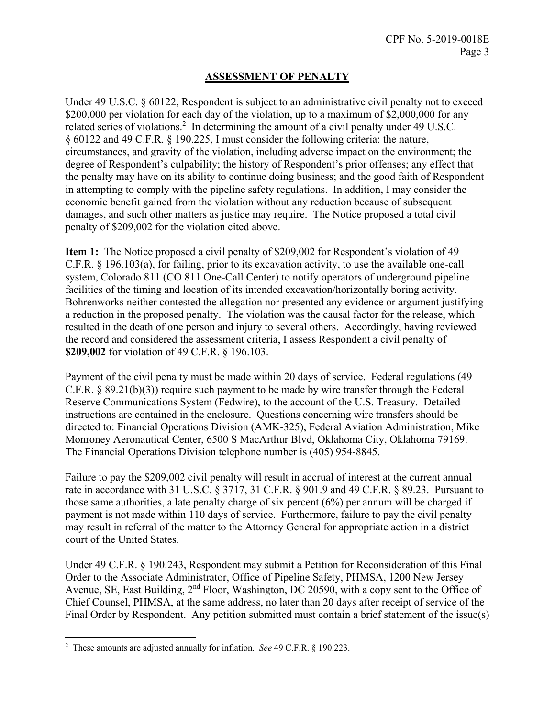# **ASSESSMENT OF PENALTY**

Under 49 U.S.C. § 60122, Respondent is subject to an administrative civil penalty not to exceed \$200,000 per violation for each day of the violation, up to a maximum of \$2,000,000 for any related series of violations.<sup>2</sup> In determining the amount of a civil penalty under 49 U.S.C. § 60122 and 49 C.F.R. § 190.225, I must consider the following criteria: the nature, circumstances, and gravity of the violation, including adverse impact on the environment; the degree of Respondent's culpability; the history of Respondent's prior offenses; any effect that the penalty may have on its ability to continue doing business; and the good faith of Respondent in attempting to comply with the pipeline safety regulations. In addition, I may consider the economic benefit gained from the violation without any reduction because of subsequent damages, and such other matters as justice may require. The Notice proposed a total civil penalty of \$209,002 for the violation cited above.

**Item 1:** The Notice proposed a civil penalty of \$209,002 for Respondent's violation of 49 C.F.R. § 196.103(a), for failing, prior to its excavation activity, to use the available one-call system, Colorado 811 (CO 811 One-Call Center) to notify operators of underground pipeline facilities of the timing and location of its intended excavation/horizontally boring activity. Bohrenworks neither contested the allegation nor presented any evidence or argument justifying a reduction in the proposed penalty. The violation was the causal factor for the release, which resulted in the death of one person and injury to several others. Accordingly, having reviewed the record and considered the assessment criteria, I assess Respondent a civil penalty of **\$209,002** for violation of 49 C.F.R. § 196.103.

Payment of the civil penalty must be made within 20 days of service. Federal regulations (49 C.F.R. § 89.21(b)(3)) require such payment to be made by wire transfer through the Federal Reserve Communications System (Fedwire), to the account of the U.S. Treasury. Detailed instructions are contained in the enclosure. Questions concerning wire transfers should be directed to: Financial Operations Division (AMK-325), Federal Aviation Administration, Mike Monroney Aeronautical Center, 6500 S MacArthur Blvd, Oklahoma City, Oklahoma 79169. The Financial Operations Division telephone number is (405) 954-8845.

Failure to pay the \$209,002 civil penalty will result in accrual of interest at the current annual rate in accordance with 31 U.S.C. § 3717, 31 C.F.R. § 901.9 and 49 C.F.R. § 89.23. Pursuant to those same authorities, a late penalty charge of six percent (6%) per annum will be charged if payment is not made within 110 days of service. Furthermore, failure to pay the civil penalty may result in referral of the matter to the Attorney General for appropriate action in a district court of the United States.

Under 49 C.F.R. § 190.243, Respondent may submit a Petition for Reconsideration of this Final Order to the Associate Administrator, Office of Pipeline Safety, PHMSA, 1200 New Jersey Avenue, SE, East Building, 2<sup>nd</sup> Floor, Washington, DC 20590, with a copy sent to the Office of Chief Counsel, PHMSA, at the same address, no later than 20 days after receipt of service of the Final Order by Respondent. Any petition submitted must contain a brief statement of the issue(s)

 $\overline{a}$ 2 These amounts are adjusted annually for inflation. *See* 49 C.F.R. § 190.223.